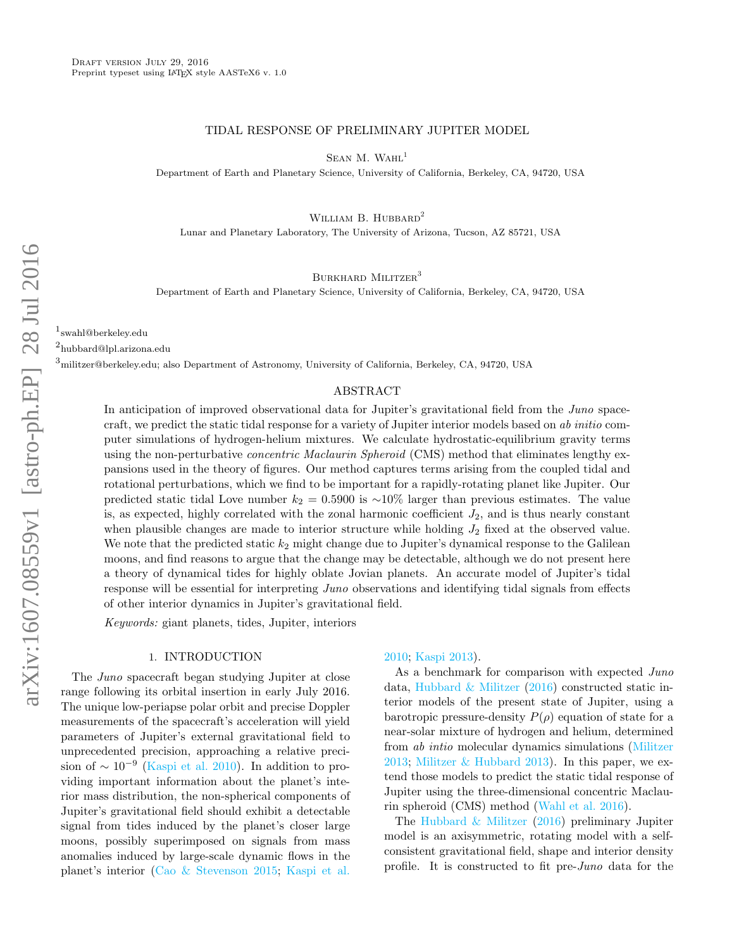## TIDAL RESPONSE OF PRELIMINARY JUPITER MODEL

SEAN M. WAHL<sup>1</sup>

Department of Earth and Planetary Science, University of California, Berkeley, CA, 94720, USA

WILLIAM B. HUBBARD<sup>2</sup>

Lunar and Planetary Laboratory, The University of Arizona, Tucson, AZ 85721, USA

BURKHARD MILITZER<sup>3</sup>

Department of Earth and Planetary Science, University of California, Berkeley, CA, 94720, USA

1 swahl@berkeley.edu

2 hubbard@lpl.arizona.edu

 ${}^{3}$ militzer@berkeley.edu; also Department of Astronomy, University of California, Berkeley, CA, 94720, USA

#### ABSTRACT

In anticipation of improved observational data for Jupiter's gravitational field from the *Juno* spacecraft, we predict the static tidal response for a variety of Jupiter interior models based on ab initio computer simulations of hydrogen-helium mixtures. We calculate hydrostatic-equilibrium gravity terms using the non-perturbative *concentric Maclaurin Spheroid* (CMS) method that eliminates lengthy expansions used in the theory of figures. Our method captures terms arising from the coupled tidal and rotational perturbations, which we find to be important for a rapidly-rotating planet like Jupiter. Our predicted static tidal Love number  $k_2 = 0.5900$  is ~10% larger than previous estimates. The value is, as expected, highly correlated with the zonal harmonic coefficient  $J_2$ , and is thus nearly constant when plausible changes are made to interior structure while holding  $J_2$  fixed at the observed value. We note that the predicted static  $k_2$  might change due to Jupiter's dynamical response to the Galilean moons, and find reasons to argue that the change may be detectable, although we do not present here a theory of dynamical tides for highly oblate Jovian planets. An accurate model of Jupiter's tidal response will be essential for interpreting *Juno* observations and identifying tidal signals from effects of other interior dynamics in Jupiter's gravitational field.

Keywords: giant planets, tides, Jupiter, interiors

#### 1. INTRODUCTION

The Juno spacecraft began studying Jupiter at close range following its orbital insertion in early July 2016. The unique low-periapse polar orbit and precise Doppler measurements of the spacecraft's acceleration will yield parameters of Jupiter's external gravitational field to unprecedented precision, approaching a relative precision of  $\sim 10^{-9}$  [\(Kaspi et al.](#page-6-0) [2010\)](#page-6-0). In addition to providing important information about the planet's interior mass distribution, the non-spherical components of Jupiter's gravitational field should exhibit a detectable signal from tides induced by the planet's closer large moons, possibly superimposed on signals from mass anomalies induced by large-scale dynamic flows in the planet's interior [\(Cao & Stevenson](#page-6-1) [2015;](#page-6-1) [Kaspi et al.](#page-6-0)

[2010;](#page-6-0) [Kaspi](#page-6-2) [2013\)](#page-6-2).

As a benchmark for comparison with expected  $Juno$ data, [Hubbard & Militzer](#page-6-3) [\(2016\)](#page-6-3) constructed static interior models of the present state of Jupiter, using a barotropic pressure-density  $P(\rho)$  equation of state for a near-solar mixture of hydrogen and helium, determined from ab intio molecular dynamics simulations [\(Militzer](#page-6-4) [2013;](#page-6-4) [Militzer & Hubbard](#page-6-5) [2013\)](#page-6-5). In this paper, we extend those models to predict the static tidal response of Jupiter using the three-dimensional concentric Maclaurin spheroid (CMS) method [\(Wahl et al.](#page-6-6) [2016\)](#page-6-6).

The [Hubbard & Militzer](#page-6-3) [\(2016\)](#page-6-3) preliminary Jupiter model is an axisymmetric, rotating model with a selfconsistent gravitational field, shape and interior density profile. It is constructed to fit pre-Juno data for the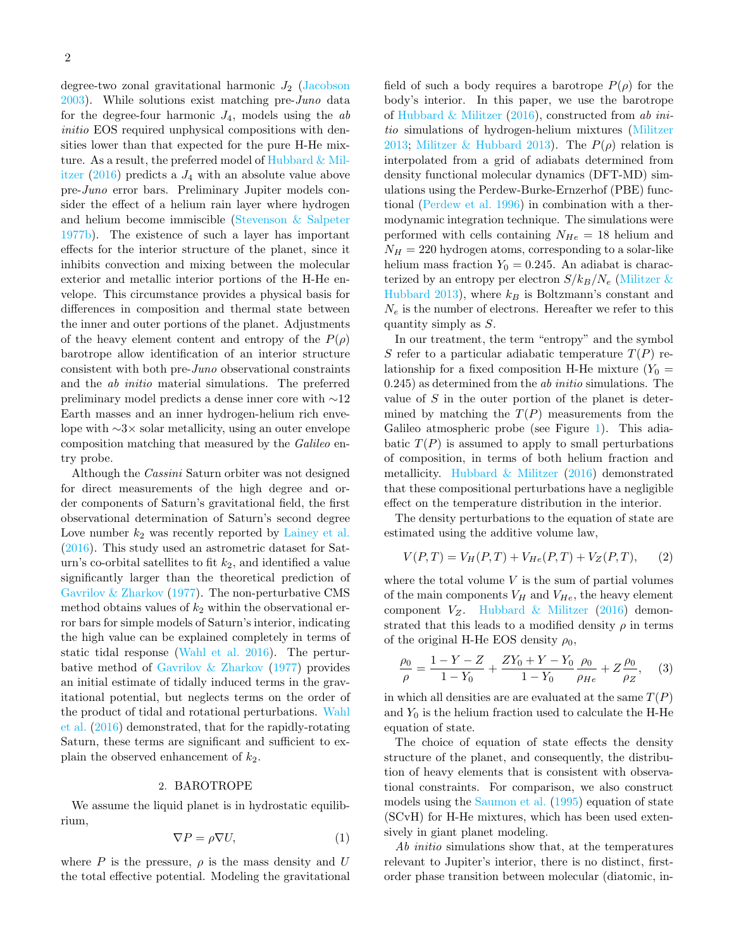degree-two zonal gravitational harmonic  $J_2$  [\(Jacobson](#page-6-7)  $2003$ ). While solutions exist matching pre-Juno data for the degree-four harmonic  $J_4$ , models using the ab initio EOS required unphysical compositions with densities lower than that expected for the pure H-He mixture. As a result, the preferred model of [Hubbard & Mil](#page-6-3)[itzer](#page-6-3) [\(2016\)](#page-6-3) predicts a  $J_4$  with an absolute value above pre-Juno error bars. Preliminary Jupiter models consider the effect of a helium rain layer where hydrogen and helium become immiscible [\(Stevenson & Salpeter](#page-6-8) [1977b\)](#page-6-8). The existence of such a layer has important effects for the interior structure of the planet, since it inhibits convection and mixing between the molecular exterior and metallic interior portions of the H-He envelope. This circumstance provides a physical basis for differences in composition and thermal state between the inner and outer portions of the planet. Adjustments of the heavy element content and entropy of the  $P(\rho)$ barotrope allow identification of an interior structure consistent with both pre-Juno observational constraints and the ab initio material simulations. The preferred preliminary model predicts a dense inner core with ∼12 Earth masses and an inner hydrogen-helium rich envelope with ∼3× solar metallicity, using an outer envelope composition matching that measured by the Galileo entry probe.

Although the Cassini Saturn orbiter was not designed for direct measurements of the high degree and order components of Saturn's gravitational field, the first observational determination of Saturn's second degree Love number  $k_2$  was recently reported by [Lainey et al.](#page-6-9) [\(2016\)](#page-6-9). This study used an astrometric dataset for Saturn's co-orbital satellites to fit  $k_2$ , and identified a value significantly larger than the theoretical prediction of [Gavrilov & Zharkov](#page-6-10) [\(1977\)](#page-6-10). The non-perturbative CMS method obtains values of  $k_2$  within the observational error bars for simple models of Saturn's interior, indicating the high value can be explained completely in terms of static tidal response [\(Wahl et al.](#page-6-6) [2016\)](#page-6-6). The perturbative method of [Gavrilov & Zharkov](#page-6-10) [\(1977\)](#page-6-10) provides an initial estimate of tidally induced terms in the gravitational potential, but neglects terms on the order of the product of tidal and rotational perturbations. [Wahl](#page-6-6) [et al.](#page-6-6) [\(2016\)](#page-6-6) demonstrated, that for the rapidly-rotating Saturn, these terms are significant and sufficient to explain the observed enhancement of  $k_2$ .

## 2. BAROTROPE

We assume the liquid planet is in hydrostatic equilibrium,

$$
\nabla P = \rho \nabla U,\tag{1}
$$

where  $P$  is the pressure,  $\rho$  is the mass density and U the total effective potential. Modeling the gravitational field of such a body requires a barotrope  $P(\rho)$  for the body's interior. In this paper, we use the barotrope of [Hubbard & Militzer](#page-6-3)  $(2016)$ , constructed from ab initio simulations of hydrogen-helium mixtures [\(Militzer](#page-6-4) [2013;](#page-6-4) [Militzer & Hubbard](#page-6-5) [2013\)](#page-6-5). The  $P(\rho)$  relation is interpolated from a grid of adiabats determined from density functional molecular dynamics (DFT-MD) simulations using the Perdew-Burke-Ernzerhof (PBE) functional [\(Perdew et al.](#page-6-11) [1996\)](#page-6-11) in combination with a thermodynamic integration technique. The simulations were performed with cells containing  $N_{He} = 18$  helium and  $N_H = 220$  hydrogen atoms, corresponding to a solar-like helium mass fraction  $Y_0 = 0.245$ . An adiabat is characterized by an entropy per electron  $S/k_B/N_e$  (Militzer  $\&$ [Hubbard](#page-6-5) [2013\)](#page-6-5), where  $k_B$  is Boltzmann's constant and  $N_e$  is the number of electrons. Hereafter we refer to this quantity simply as S.

In our treatment, the term "entropy" and the symbol S refer to a particular adiabatic temperature  $T(P)$  relationship for a fixed composition H-He mixture  $(Y_0 =$  $(0.245)$  as determined from the *ab initio* simulations. The value of S in the outer portion of the planet is determined by matching the  $T(P)$  measurements from the Galileo atmospheric probe (see Figure [1\)](#page-2-0). This adiabatic  $T(P)$  is assumed to apply to small perturbations of composition, in terms of both helium fraction and metallicity. Hubbard  $\&$  Militzer [\(2016\)](#page-6-3) demonstrated that these compositional perturbations have a negligible effect on the temperature distribution in the interior.

The density perturbations to the equation of state are estimated using the additive volume law,

$$
V(P,T) = V_H(P,T) + V_{He}(P,T) + V_Z(P,T), \qquad (2)
$$

where the total volume  $V$  is the sum of partial volumes of the main components  $V_H$  and  $V_{He}$ , the heavy element component  $V_Z$ . [Hubbard & Militzer](#page-6-3) [\(2016\)](#page-6-3) demonstrated that this leads to a modified density  $\rho$  in terms of the original H-He EOS density  $\rho_0$ ,

$$
\frac{\rho_0}{\rho} = \frac{1 - Y - Z}{1 - Y_0} + \frac{ZY_0 + Y - Y_0}{1 - Y_0} \frac{\rho_0}{\rho_{He}} + Z \frac{\rho_0}{\rho_Z}, \quad (3)
$$

in which all densities are are evaluated at the same  $T(P)$ and  $Y_0$  is the helium fraction used to calculate the H-He equation of state.

The choice of equation of state effects the density structure of the planet, and consequently, the distribution of heavy elements that is consistent with observational constraints. For comparison, we also construct models using the [Saumon et al.](#page-6-12) [\(1995\)](#page-6-12) equation of state (SCvH) for H-He mixtures, which has been used extensively in giant planet modeling.

Ab *initio* simulations show that, at the temperatures relevant to Jupiter's interior, there is no distinct, firstorder phase transition between molecular (diatomic, in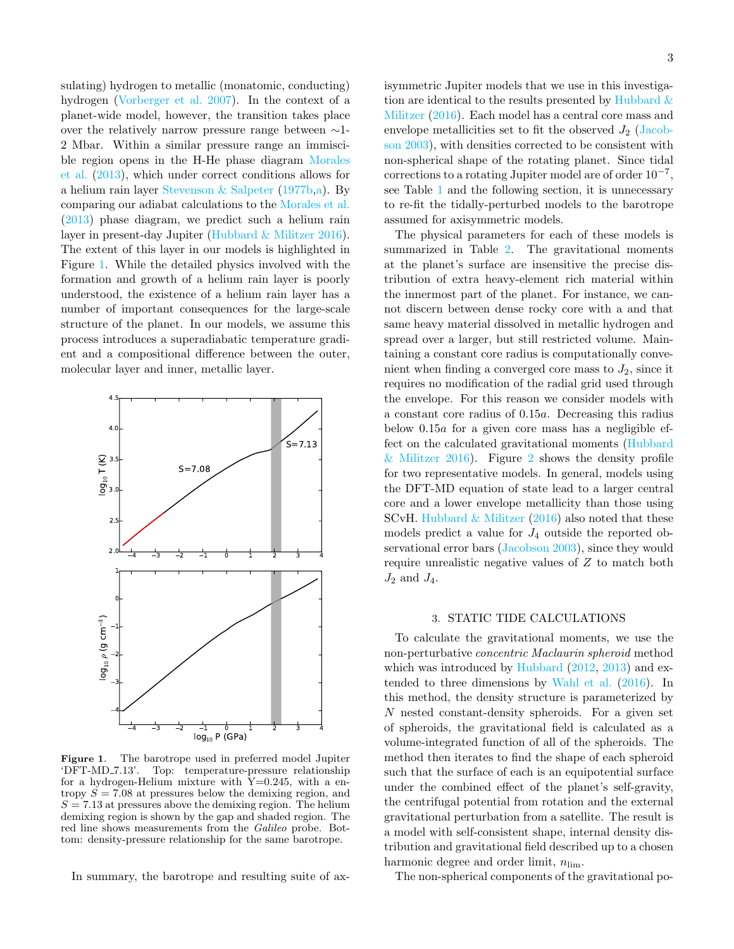sulating) hydrogen to metallic (monatomic, conducting) hydrogen [\(Vorberger et al.](#page-6-13) [2007\)](#page-6-13). In the context of a planet-wide model, however, the transition takes place over the relatively narrow pressure range between ∼1- 2 Mbar. Within a similar pressure range an immiscible region opens in the H-He phase diagram [Morales](#page-6-14) [et al.](#page-6-14) [\(2013\)](#page-6-14), which under correct conditions allows for a helium rain layer [Stevenson & Salpeter](#page-6-8) [\(1977b,](#page-6-8)[a\)](#page-6-15). By comparing our adiabat calculations to the [Morales et al.](#page-6-14) [\(2013\)](#page-6-14) phase diagram, we predict such a helium rain layer in present-day Jupiter [\(Hubbard & Militzer](#page-6-3) [2016\)](#page-6-3). The extent of this layer in our models is highlighted in Figure [1.](#page-2-0) While the detailed physics involved with the formation and growth of a helium rain layer is poorly understood, the existence of a helium rain layer has a number of important consequences for the large-scale structure of the planet. In our models, we assume this process introduces a superadiabatic temperature gradient and a compositional difference between the outer, molecular layer and inner, metallic layer.



<span id="page-2-0"></span>Figure 1. The barotrope used in preferred model Jupiter 'DFT-MD 7.13'. Top: temperature-pressure relationship for a hydrogen-Helium mixture with  $Y=0.245$ , with a entropy  $S = 7.08$  at pressures below the demixing region, and  $S = 7.13$  at pressures above the demixing region. The helium demixing region is shown by the gap and shaded region. The red line shows measurements from the Galileo probe. Bottom: density-pressure relationship for the same barotrope.

In summary, the barotrope and resulting suite of ax-

isymmetric Jupiter models that we use in this investigation are identical to the results presented by Hubbard  $\&$ [Militzer](#page-6-3) [\(2016\)](#page-6-3). Each model has a central core mass and envelope metallicities set to fit the observed  $J_2$  [\(Jacob](#page-6-7)[son](#page-6-7) [2003\)](#page-6-7), with densities corrected to be consistent with non-spherical shape of the rotating planet. Since tidal corrections to a rotating Jupiter model are of order  $10^{-7}$ , see Table [1](#page-7-0) and the following section, it is unnecessary to re-fit the tidally-perturbed models to the barotrope assumed for axisymmetric models.

The physical parameters for each of these models is summarized in Table [2.](#page-7-1) The gravitational moments at the planet's surface are insensitive the precise distribution of extra heavy-element rich material within the innermost part of the planet. For instance, we cannot discern between dense rocky core with a and that same heavy material dissolved in metallic hydrogen and spread over a larger, but still restricted volume. Maintaining a constant core radius is computationally convenient when finding a converged core mass to  $J_2$ , since it requires no modification of the radial grid used through the envelope. For this reason we consider models with a constant core radius of 0.15a. Decreasing this radius below 0.15a for a given core mass has a negligible effect on the calculated gravitational moments [\(Hubbard](#page-6-3) [& Militzer](#page-6-3) [2016\)](#page-6-3). Figure [2](#page-3-0) shows the density profile for two representative models. In general, models using the DFT-MD equation of state lead to a larger central core and a lower envelope metallicity than those using SCvH. Hubbard  $&$  Militzer [\(2016\)](#page-6-3) also noted that these models predict a value for  $J_4$  outside the reported observational error bars [\(Jacobson](#page-6-7) [2003\)](#page-6-7), since they would require unrealistic negative values of Z to match both  $J_2$  and  $J_4$ .

## 3. STATIC TIDE CALCULATIONS

To calculate the gravitational moments, we use the non-perturbative concentric Maclaurin spheroid method which was introduced by [Hubbard](#page-6-16) [\(2012,](#page-6-16) [2013\)](#page-6-17) and extended to three dimensions by [Wahl et al.](#page-6-6) [\(2016\)](#page-6-6). In this method, the density structure is parameterized by N nested constant-density spheroids. For a given set of spheroids, the gravitational field is calculated as a volume-integrated function of all of the spheroids. The method then iterates to find the shape of each spheroid such that the surface of each is an equipotential surface under the combined effect of the planet's self-gravity, the centrifugal potential from rotation and the external gravitational perturbation from a satellite. The result is a model with self-consistent shape, internal density distribution and gravitational field described up to a chosen harmonic degree and order limit,  $n_{\text{lim}}$ .

The non-spherical components of the gravitational po-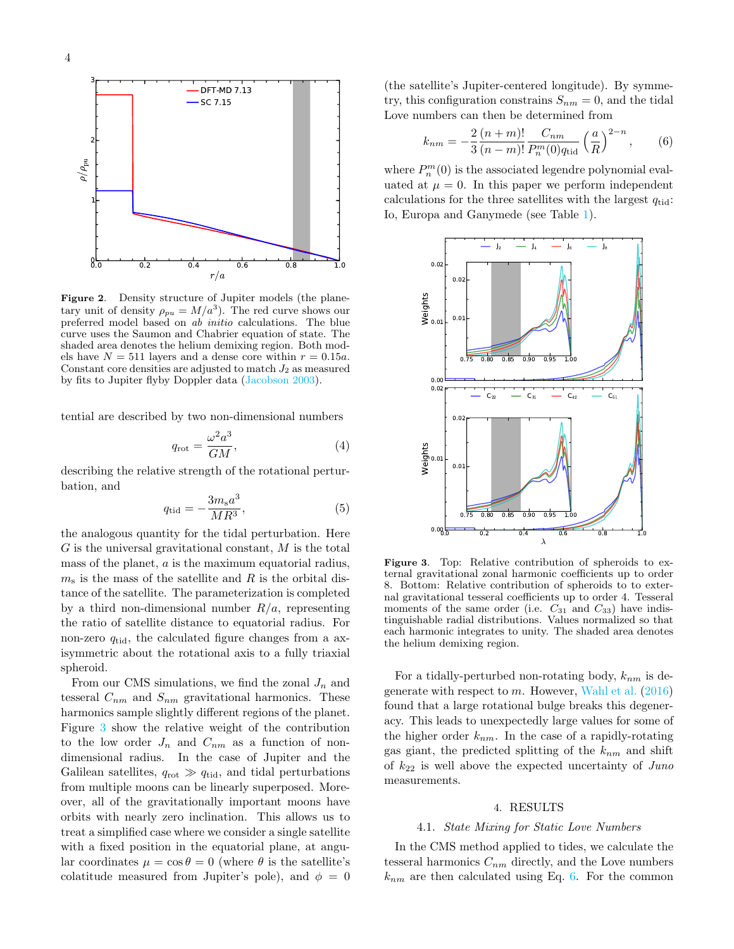

<span id="page-3-0"></span>Figure 2. Density structure of Jupiter models (the planetary unit of density  $\rho_{pu} = M/a^3$ ). The red curve shows our preferred model based on ab initio calculations. The blue curve uses the Saumon and Chabrier equation of state. The shaded area denotes the helium demixing region. Both models have  $N = 511$  layers and a dense core within  $r = 0.15a$ . Constant core densities are adjusted to match  $J_2$  as measured by fits to Jupiter flyby Doppler data [\(Jacobson](#page-6-7) [2003\)](#page-6-7).

tential are described by two non-dimensional numbers

$$
q_{\rm rot} = \frac{\omega^2 a^3}{GM},\tag{4}
$$

describing the relative strength of the rotational perturbation, and

$$
q_{\rm tid} = -\frac{3m_{\rm s}a^3}{MR^3},\tag{5}
$$

the analogous quantity for the tidal perturbation. Here  $G$  is the universal gravitational constant,  $M$  is the total mass of the planet, a is the maximum equatorial radius,  $m<sub>s</sub>$  is the mass of the satellite and R is the orbital distance of the satellite. The parameterization is completed by a third non-dimensional number  $R/a$ , representing the ratio of satellite distance to equatorial radius. For non-zero  $q_{tid}$ , the calculated figure changes from a axisymmetric about the rotational axis to a fully triaxial spheroid.

From our CMS simulations, we find the zonal  $J_n$  and tesseral  $C_{nm}$  and  $S_{nm}$  gravitational harmonics. These harmonics sample slightly different regions of the planet. Figure [3](#page-3-1) show the relative weight of the contribution to the low order  $J_n$  and  $C_{nm}$  as a function of nondimensional radius. In the case of Jupiter and the Galilean satellites,  $q_{\text{rot}} \gg q_{\text{tid}}$ , and tidal perturbations from multiple moons can be linearly superposed. Moreover, all of the gravitationally important moons have orbits with nearly zero inclination. This allows us to treat a simplified case where we consider a single satellite with a fixed position in the equatorial plane, at angular coordinates  $\mu = \cos \theta = 0$  (where  $\theta$  is the satellite's colatitude measured from Jupiter's pole), and  $\phi = 0$  (the satellite's Jupiter-centered longitude). By symmetry, this configuration constrains  $S_{nm} = 0$ , and the tidal Love numbers can then be determined from

<span id="page-3-2"></span>
$$
k_{nm} = -\frac{2}{3} \frac{(n+m)!}{(n-m)!} \frac{C_{nm}}{P_n^m(0)q_{\text{tid}}}\left(\frac{a}{R}\right)^{2-n},\qquad(6)
$$

where  $P_n^m(0)$  is the associated legendre polynomial evaluated at  $\mu = 0$ . In this paper we perform independent calculations for the three satellites with the largest  $q_{tid}$ : Io, Europa and Ganymede (see Table [1\)](#page-7-0).



<span id="page-3-1"></span>Figure 3. Top: Relative contribution of spheroids to external gravitational zonal harmonic coefficients up to order 8. Bottom: Relative contribution of spheroids to to external gravitational tesseral coefficients up to order 4. Tesseral moments of the same order (i.e.  $C_{31}$  and  $C_{33}$ ) have indistinguishable radial distributions. Values normalized so that each harmonic integrates to unity. The shaded area denotes the helium demixing region.

For a tidally-perturbed non-rotating body,  $k_{nm}$  is degenerate with respect to  $m$ . However, [Wahl et al.](#page-6-6)  $(2016)$ found that a large rotational bulge breaks this degeneracy. This leads to unexpectedly large values for some of the higher order  $k_{nm}$ . In the case of a rapidly-rotating gas giant, the predicted splitting of the  $k_{nm}$  and shift of  $k_{22}$  is well above the expected uncertainty of Juno measurements.

#### 4. RESULTS

### 4.1. State Mixing for Static Love Numbers

<span id="page-3-3"></span>In the CMS method applied to tides, we calculate the tesseral harmonics  $C_{nm}$  directly, and the Love numbers  $k_{nm}$  are then calculated using Eq. [6.](#page-3-2) For the common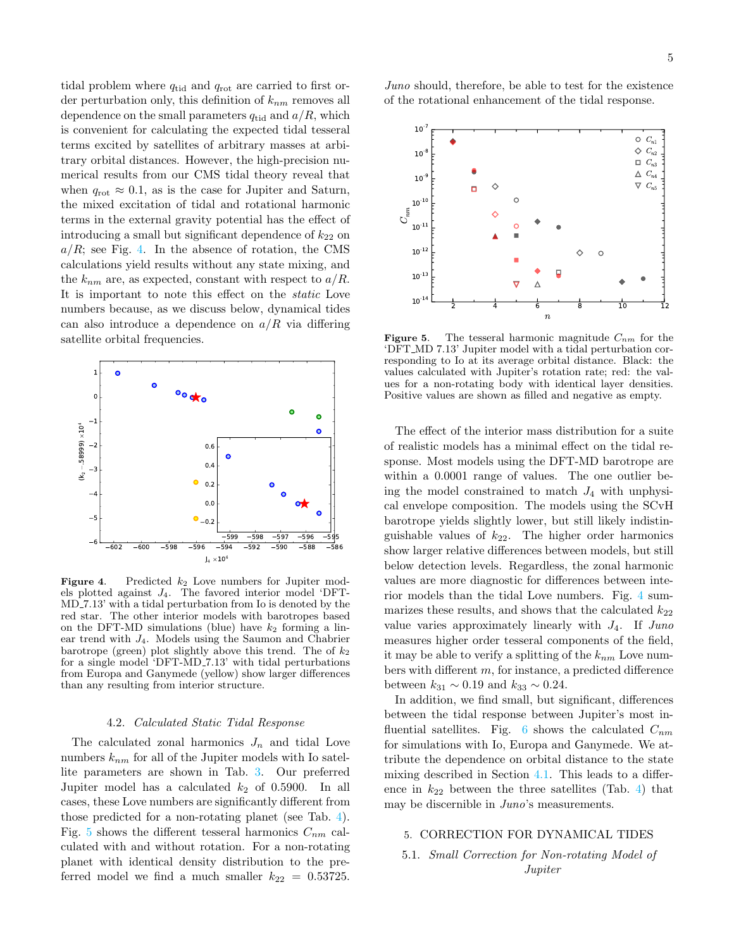tidal problem where  $q_{tid}$  and  $q_{rot}$  are carried to first order perturbation only, this definition of  $k_{nm}$  removes all dependence on the small parameters  $q_{tid}$  and  $a/R$ , which is convenient for calculating the expected tidal tesseral terms excited by satellites of arbitrary masses at arbitrary orbital distances. However, the high-precision numerical results from our CMS tidal theory reveal that when  $q_{\text{rot}} \approx 0.1$ , as is the case for Jupiter and Saturn, the mixed excitation of tidal and rotational harmonic terms in the external gravity potential has the effect of introducing a small but significant dependence of  $k_{22}$  on  $a/R$ ; see Fig. [4.](#page-4-0) In the absence of rotation, the CMS calculations yield results without any state mixing, and the  $k_{nm}$  are, as expected, constant with respect to  $a/R$ . It is important to note this effect on the static Love numbers because, as we discuss below, dynamical tides can also introduce a dependence on  $a/R$  via differing satellite orbital frequencies.



<span id="page-4-0"></span>**Figure 4.** Predicted  $k_2$  Love numbers for Jupiter models plotted against J4. The favored interior model 'DFT-MD 7.13' with a tidal perturbation from Io is denoted by the red star. The other interior models with barotropes based on the DFT-MD simulations (blue) have  $k_2$  forming a linear trend with J4. Models using the Saumon and Chabrier barotrope (green) plot slightly above this trend. The of  $k_2$ for a single model 'DFT-MD 7.13' with tidal perturbations from Europa and Ganymede (yellow) show larger differences than any resulting from interior structure.

## 4.2. Calculated Static Tidal Response

The calculated zonal harmonics  $J_n$  and tidal Love numbers  $k_{nm}$  for all of the Jupiter models with Io satellite parameters are shown in Tab. [3.](#page-8-0) Our preferred Jupiter model has a calculated  $k_2$  of 0.5900. In all cases, these Love numbers are significantly different from those predicted for a non-rotating planet (see Tab. [4\)](#page-9-0). Fig. [5](#page-4-1) shows the different tesseral harmonics  $C_{nm}$  calculated with and without rotation. For a non-rotating planet with identical density distribution to the preferred model we find a much smaller  $k_{22} = 0.53725$ .

Juno should, therefore, be able to test for the existence of the rotational enhancement of the tidal response.



<span id="page-4-1"></span>**Figure 5.** The tesseral harmonic magnitude  $C_{nm}$  for the 'DFT MD 7.13' Jupiter model with a tidal perturbation corresponding to Io at its average orbital distance. Black: the values calculated with Jupiter's rotation rate; red: the values for a non-rotating body with identical layer densities. Positive values are shown as filled and negative as empty.

The effect of the interior mass distribution for a suite of realistic models has a minimal effect on the tidal response. Most models using the DFT-MD barotrope are within a 0.0001 range of values. The one outlier being the model constrained to match  $J_4$  with unphysical envelope composition. The models using the SCvH barotrope yields slightly lower, but still likely indistinguishable values of  $k_{22}$ . The higher order harmonics show larger relative differences between models, but still below detection levels. Regardless, the zonal harmonic values are more diagnostic for differences between interior models than the tidal Love numbers. Fig. [4](#page-4-0) summarizes these results, and shows that the calculated  $k_{22}$ value varies approximately linearly with  $J_4$ . If  $Juno$ measures higher order tesseral components of the field, it may be able to verify a splitting of the  $k_{nm}$  Love numbers with different m, for instance, a predicted difference between  $k_{31} \sim 0.19$  and  $k_{33} \sim 0.24$ .

In addition, we find small, but significant, differences between the tidal response between Jupiter's most in-fluential satellites. Fig. [6](#page-5-0) shows the calculated  $C_{nm}$ for simulations with Io, Europa and Ganymede. We attribute the dependence on orbital distance to the state mixing described in Section [4.1.](#page-3-3) This leads to a difference in  $k_{22}$  between the three satellites (Tab. [4\)](#page-9-0) that may be discernible in  $Juno's$  measurements.

## 5. CORRECTION FOR DYNAMICAL TIDES

# 5.1. Small Correction for Non-rotating Model of Jupiter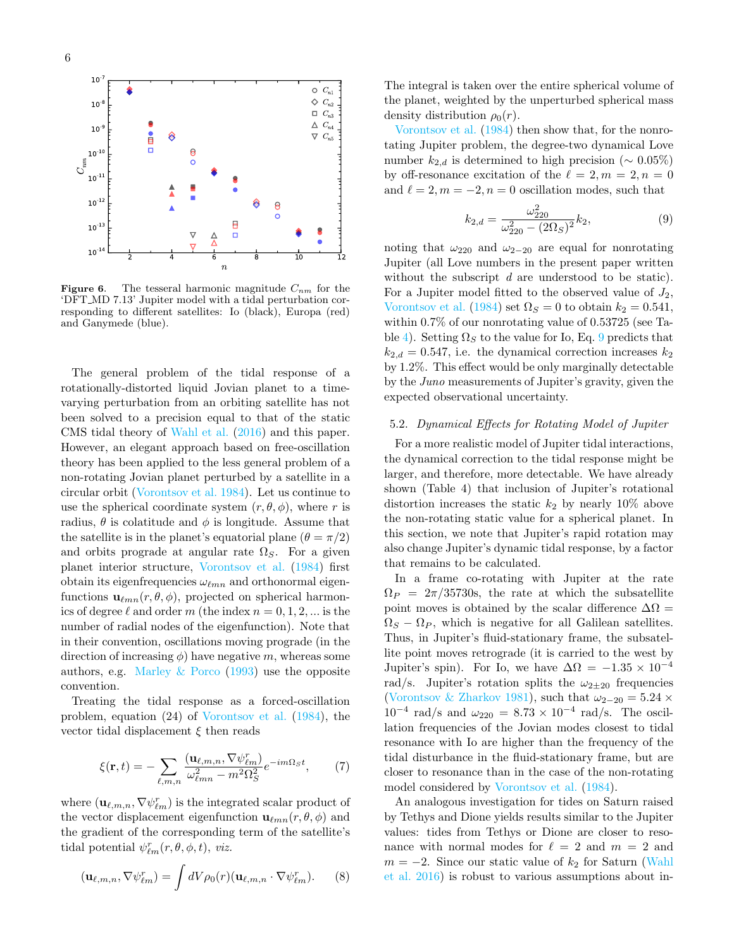

<span id="page-5-0"></span>**Figure 6.** The tesseral harmonic magnitude  $C_{nm}$  for the 'DFT MD 7.13' Jupiter model with a tidal perturbation corresponding to different satellites: Io (black), Europa (red) and Ganymede (blue).

The general problem of the tidal response of a rotationally-distorted liquid Jovian planet to a timevarying perturbation from an orbiting satellite has not been solved to a precision equal to that of the static CMS tidal theory of [Wahl et al.](#page-6-6) [\(2016\)](#page-6-6) and this paper. However, an elegant approach based on free-oscillation theory has been applied to the less general problem of a non-rotating Jovian planet perturbed by a satellite in a circular orbit [\(Vorontsov et al.](#page-6-18) [1984\)](#page-6-18). Let us continue to use the spherical coordinate system  $(r, \theta, \phi)$ , where r is radius,  $\theta$  is colatitude and  $\phi$  is longitude. Assume that the satellite is in the planet's equatorial plane  $(\theta = \pi/2)$ and orbits prograde at angular rate  $\Omega_S$ . For a given planet interior structure, [Vorontsov et al.](#page-6-18) [\(1984\)](#page-6-18) first obtain its eigenfrequencies  $\omega_{\ell mn}$  and orthonormal eigenfunctions  $\mathbf{u}_{\ell mn}(r, \theta, \phi)$ , projected on spherical harmonics of degree  $\ell$  and order m (the index  $n = 0, 1, 2, ...$  is the number of radial nodes of the eigenfunction). Note that in their convention, oscillations moving prograde (in the direction of increasing  $\phi$ ) have negative m, whereas some authors, e.g. Marley  $& Porco (1993)$  $& Porco (1993)$  use the opposite convention.

Treating the tidal response as a forced-oscillation problem, equation (24) of [Vorontsov et al.](#page-6-18) [\(1984\)](#page-6-18), the vector tidal displacement  $\xi$  then reads

$$
\xi(\mathbf{r},t) = -\sum_{\ell,m,n} \frac{(\mathbf{u}_{\ell,m,n}, \nabla \psi_{\ell m}^r)}{\omega_{\ell mn}^2 - m^2 \Omega_S^2} e^{-im\Omega_S t},\tag{7}
$$

where  $(\mathbf{u}_{\ell,m,n}, \nabla \psi_{\ell m}^r)$  is the integrated scalar product of the vector displacement eigenfunction  $\mathbf{u}_{\ell mn}(r, \theta, \phi)$  and the gradient of the corresponding term of the satellite's tidal potential  $\psi_{\ell m}^r(r, \theta, \phi, t)$ , viz.

$$
(\mathbf{u}_{\ell,m,n}, \nabla \psi_{\ell m}^r) = \int dV \rho_0(r) (\mathbf{u}_{\ell,m,n} \cdot \nabla \psi_{\ell m}^r). \tag{8}
$$

The integral is taken over the entire spherical volume of the planet, weighted by the unperturbed spherical mass density distribution  $\rho_0(r)$ .

[Vorontsov et al.](#page-6-18) [\(1984\)](#page-6-18) then show that, for the nonrotating Jupiter problem, the degree-two dynamical Love number  $k_{2,d}$  is determined to high precision ( $\sim 0.05\%$ ) by off-resonance excitation of the  $\ell = 2, m = 2, n = 0$ and  $\ell = 2, m = -2, n = 0$  oscillation modes, such that

<span id="page-5-1"></span>
$$
k_{2,d} = \frac{\omega_{220}^2}{\omega_{220}^2 - (2\Omega_S)^2} k_2,
$$
\n(9)

noting that  $\omega_{220}$  and  $\omega_{2-20}$  are equal for nonrotating Jupiter (all Love numbers in the present paper written without the subscript d are understood to be static). For a Jupiter model fitted to the observed value of  $J_2$ , [Vorontsov et al.](#page-6-18) [\(1984\)](#page-6-18) set  $\Omega_S = 0$  to obtain  $k_2 = 0.541$ , within 0.7% of our nonrotating value of 0.53725 (see Ta-ble [4\)](#page-9-0). Setting  $\Omega<sub>S</sub>$  to the value for Io, Eq. [9](#page-5-1) predicts that  $k_{2,d} = 0.547$ , i.e. the dynamical correction increases  $k_2$ by 1.2%. This effect would be only marginally detectable by the Juno measurements of Jupiter's gravity, given the expected observational uncertainty.

## 5.2. Dynamical Effects for Rotating Model of Jupiter

For a more realistic model of Jupiter tidal interactions, the dynamical correction to the tidal response might be larger, and therefore, more detectable. We have already shown (Table 4) that inclusion of Jupiter's rotational distortion increases the static  $k_2$  by nearly 10% above the non-rotating static value for a spherical planet. In this section, we note that Jupiter's rapid rotation may also change Jupiter's dynamic tidal response, by a factor that remains to be calculated.

In a frame co-rotating with Jupiter at the rate  $\Omega_P = 2\pi/35730$ s, the rate at which the subsatellite point moves is obtained by the scalar difference  $\Delta\Omega =$  $\Omega_S - \Omega_P$ , which is negative for all Galilean satellites. Thus, in Jupiter's fluid-stationary frame, the subsatellite point moves retrograde (it is carried to the west by Jupiter's spin). For Io, we have  $\Delta\Omega = -1.35 \times 10^{-4}$ rad/s. Jupiter's rotation splits the  $\omega_{2\pm 20}$  frequencies [\(Vorontsov & Zharkov](#page-6-20) [1981\)](#page-6-20), such that  $\omega_{2-20} = 5.24 \times$  $10^{-4}$  rad/s and  $ω_{220} = 8.73 \times 10^{-4}$  rad/s. The oscillation frequencies of the Jovian modes closest to tidal resonance with Io are higher than the frequency of the tidal disturbance in the fluid-stationary frame, but are closer to resonance than in the case of the non-rotating model considered by [Vorontsov et al.](#page-6-18) [\(1984\)](#page-6-18).

An analogous investigation for tides on Saturn raised by Tethys and Dione yields results similar to the Jupiter values: tides from Tethys or Dione are closer to resonance with normal modes for  $\ell = 2$  and  $m = 2$  and  $m = -2$ . Since our static value of  $k_2$  for Saturn [\(Wahl](#page-6-6) [et al.](#page-6-6) [2016\)](#page-6-6) is robust to various assumptions about in-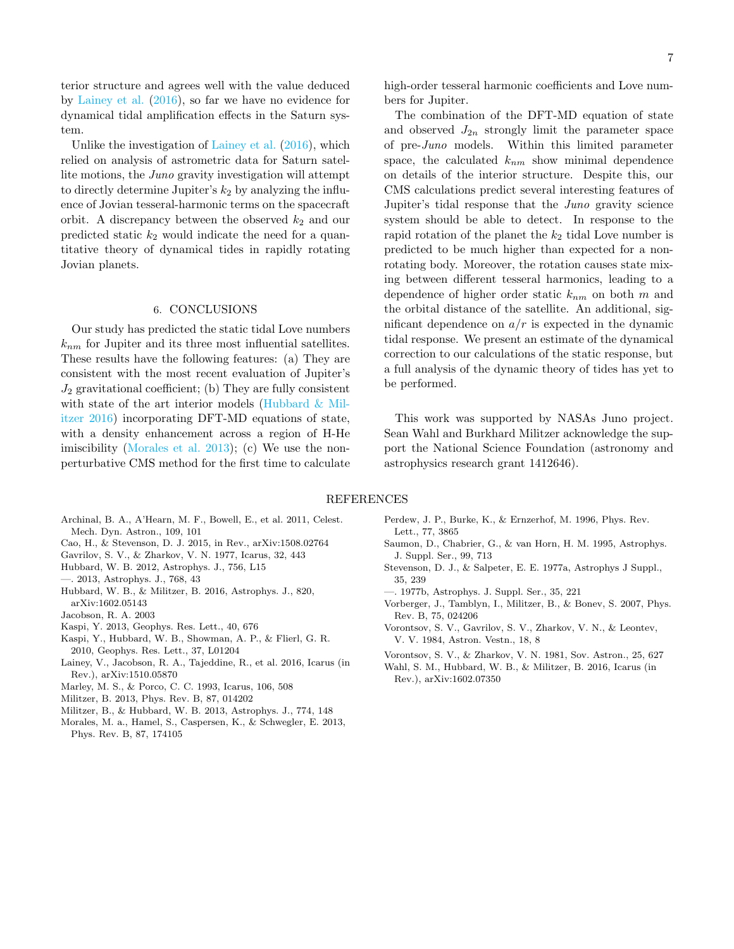terior structure and agrees well with the value deduced by [Lainey et al.](#page-6-9) [\(2016\)](#page-6-9), so far we have no evidence for dynamical tidal amplification effects in the Saturn system.

Unlike the investigation of [Lainey et al.](#page-6-9) [\(2016\)](#page-6-9), which relied on analysis of astrometric data for Saturn satellite motions, the Juno gravity investigation will attempt to directly determine Jupiter's  $k_2$  by analyzing the influence of Jovian tesseral-harmonic terms on the spacecraft orbit. A discrepancy between the observed  $k_2$  and our predicted static  $k_2$  would indicate the need for a quantitative theory of dynamical tides in rapidly rotating Jovian planets.

# 6. CONCLUSIONS

Our study has predicted the static tidal Love numbers  $k_{nm}$  for Jupiter and its three most influential satellites. These results have the following features: (a) They are consistent with the most recent evaluation of Jupiter's  $J_2$  gravitational coefficient; (b) They are fully consistent with state of the art interior models (Hubbard  $\&$  Mil[itzer](#page-6-3) [2016\)](#page-6-3) incorporating DFT-MD equations of state, with a density enhancement across a region of H-He imiscibility [\(Morales et al.](#page-6-14) [2013\)](#page-6-14); (c) We use the nonperturbative CMS method for the first time to calculate 7

high-order tesseral harmonic coefficients and Love numbers for Jupiter.

The combination of the DFT-MD equation of state and observed  $J_{2n}$  strongly limit the parameter space of pre-Juno models. Within this limited parameter space, the calculated  $k_{nm}$  show minimal dependence on details of the interior structure. Despite this, our CMS calculations predict several interesting features of Jupiter's tidal response that the Juno gravity science system should be able to detect. In response to the rapid rotation of the planet the  $k_2$  tidal Love number is predicted to be much higher than expected for a nonrotating body. Moreover, the rotation causes state mixing between different tesseral harmonics, leading to a dependence of higher order static  $k_{nm}$  on both m and the orbital distance of the satellite. An additional, significant dependence on  $a/r$  is expected in the dynamic tidal response. We present an estimate of the dynamical correction to our calculations of the static response, but a full analysis of the dynamic theory of tides has yet to be performed.

This work was supported by NASAs Juno project. Sean Wahl and Burkhard Militzer acknowledge the support the National Science Foundation (astronomy and astrophysics research grant 1412646).

# REFERENCES

- <span id="page-6-21"></span>Archinal, B. A., A'Hearn, M. F., Bowell, E., et al. 2011, Celest. Mech. Dyn. Astron., 109, 101
- <span id="page-6-1"></span>Cao, H., & Stevenson, D. J. 2015, in Rev., arXiv:1508.02764
- <span id="page-6-10"></span>Gavrilov, S. V., & Zharkov, V. N. 1977, Icarus, 32, 443
- <span id="page-6-17"></span><span id="page-6-16"></span>Hubbard, W. B. 2012, Astrophys. J., 756, L15
- —. 2013, Astrophys. J., 768, 43
- <span id="page-6-3"></span>Hubbard, W. B., & Militzer, B. 2016, Astrophys. J., 820, arXiv:1602.05143
- <span id="page-6-7"></span>Jacobson, R. A. 2003
- <span id="page-6-2"></span>Kaspi, Y. 2013, Geophys. Res. Lett., 40, 676
- <span id="page-6-0"></span>Kaspi, Y., Hubbard, W. B., Showman, A. P., & Flierl, G. R. 2010, Geophys. Res. Lett., 37, L01204
- <span id="page-6-9"></span>Lainey, V., Jacobson, R. A., Tajeddine, R., et al. 2016, Icarus (in Rev.), arXiv:1510.05870
- <span id="page-6-19"></span>Marley, M. S., & Porco, C. C. 1993, Icarus, 106, 508
- <span id="page-6-4"></span>Militzer, B. 2013, Phys. Rev. B, 87, 014202
- <span id="page-6-5"></span>Militzer, B., & Hubbard, W. B. 2013, Astrophys. J., 774, 148
- <span id="page-6-14"></span>Morales, M. a., Hamel, S., Caspersen, K., & Schwegler, E. 2013, Phys. Rev. B, 87, 174105
- <span id="page-6-11"></span>Perdew, J. P., Burke, K., & Ernzerhof, M. 1996, Phys. Rev. Lett., 77, 3865
- <span id="page-6-12"></span>Saumon, D., Chabrier, G., & van Horn, H. M. 1995, Astrophys. J. Suppl. Ser., 99, 713
- <span id="page-6-15"></span>Stevenson, D. J., & Salpeter, E. E. 1977a, Astrophys J Suppl., 35, 239
- <span id="page-6-8"></span>—. 1977b, Astrophys. J. Suppl. Ser., 35, 221
- <span id="page-6-13"></span>Vorberger, J., Tamblyn, I., Militzer, B., & Bonev, S. 2007, Phys. Rev. B, 75, 024206
- <span id="page-6-18"></span>Vorontsov, S. V., Gavrilov, S. V., Zharkov, V. N., & Leontev, V. V. 1984, Astron. Vestn., 18, 8
- <span id="page-6-20"></span>Vorontsov, S. V., & Zharkov, V. N. 1981, Sov. Astron., 25, 627
- <span id="page-6-6"></span>Wahl, S. M., Hubbard, W. B., & Militzer, B. 2016, Icarus (in Rev.), arXiv:1602.07350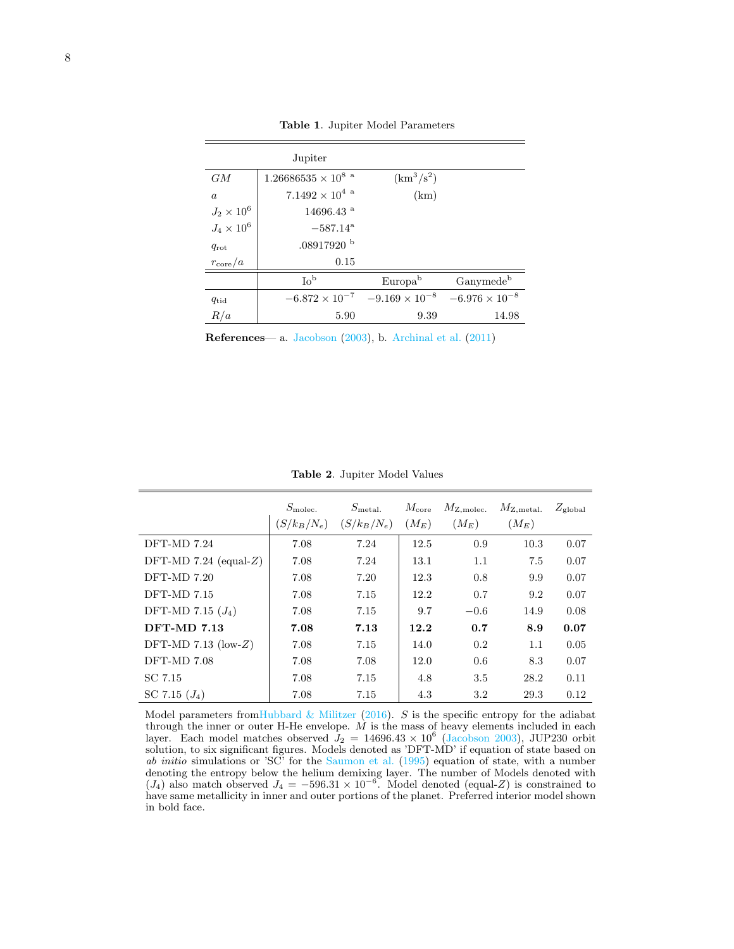| Jupiter             |  |
|---------------------|--|
|                     |  |
| $1.00000005 - 1082$ |  |

<span id="page-7-0"></span>Table 1. Jupiter Model Parameters

| GM                | $1.26686535\times10^{8}$ $^{\rm a}$ | $(km^3/s^2)$            |                         |
|-------------------|-------------------------------------|-------------------------|-------------------------|
| $\boldsymbol{a}$  | $7.1492\times10^4$ a                | (km)                    |                         |
| $J_2 \times 10^6$ | $14696.43$ <sup>a</sup>             |                         |                         |
| $J_4 \times 10^6$ | $-587.14^{\rm a}$                   |                         |                         |
| $q_{\rm rot}$     | $.08917920$ b                       |                         |                         |
| $r_{\rm core}/a$  | 0.15                                |                         |                         |
|                   | $\mathrm{Io}^{\mathrm{b}}$          | Europa <sup>b</sup>     | Ganymede <sup>b</sup>   |
| $q_{\rm tid}$     | $-6.872 \times 10^{-7}$             | $-9.169 \times 10^{-8}$ | $-6.976 \times 10^{-8}$ |
| R/a               | 5.90                                | 9.39                    | 14.98                   |

References— a. [Jacobson](#page-6-7) [\(2003\)](#page-6-7), b. [Archinal et al.](#page-6-21) [\(2011\)](#page-6-21)

<span id="page-7-1"></span>Table 2. Jupiter Model Values

|                       | $S_{\text{molec.}}$<br>$(S/k_B/N_e)$ | $S_{\rm metal.}$<br>$(S/k_B/N_e)$ | $M_{\rm core}$<br>$(M_E)$ | $M_{\rm Z, molec.}$<br>$(M_E)$ | $M_{\rm Z,metal.}$<br>$(M_E)$ | $Z_{\rm global}$ |
|-----------------------|--------------------------------------|-----------------------------------|---------------------------|--------------------------------|-------------------------------|------------------|
| DFT-MD 7.24           | 7.08                                 | 7.24                              | 12.5                      | 0.9                            | 10.3                          | 0.07             |
| DFT-MD 7.24 (equal-Z) | 7.08                                 | 7.24                              | 13.1                      | 1.1                            | 7.5                           | 0.07             |
| $DFT-MD 7.20$         | 7.08                                 | 7.20                              | 12.3                      | 0.8                            | 9.9                           | 0.07             |
| $DFT-MD 7.15$         | 7.08                                 | 7.15                              | 12.2                      | 0.7                            | 9.2                           | 0.07             |
| DFT-MD 7.15 $(J_4)$   | 7.08                                 | 7.15                              | 9.7                       | $-0.6$                         | 14.9                          | 0.08             |
| <b>DFT-MD 7.13</b>    | 7.08                                 | 7.13                              | 12.2                      | 0.7                            | 8.9                           | 0.07             |
| DFT-MD 7.13 (low-Z)   | 7.08                                 | 7.15                              | 14.0                      | 0.2                            | 1.1                           | 0.05             |
| DFT-MD 7.08           | 7.08                                 | 7.08                              | 12.0                      | 0.6                            | 8.3                           | 0.07             |
| SC 7.15               | 7.08                                 | 7.15                              | 4.8                       | 3.5                            | 28.2                          | 0.11             |
| SC 7.15 $(J_4)$       | 7.08                                 | 7.15                              | 4.3                       | 3.2                            | 29.3                          | 0.12             |

Model parameters from Hubbard & Militzer [\(2016\)](#page-6-3). S is the specific entropy for the adiabat through the inner or outer H-He envelope.  $M$  is the mass of heavy elements included in each layer. Each model matches observed  $J_2 = 14696.43 \times 10^6$  [\(Jacobson](#page-6-7) [2003\)](#page-6-7), JUP230 orbit solution, to six significant figures. Models denoted as 'DFT-MD' if equation of state based on ab initio simulations or 'SC' for the [Saumon et al.](#page-6-12) [\(1995\)](#page-6-12) equation of state, with a number denoting the entropy below the helium demixing layer. The number of Models denoted with  $(J_4)$  also match observed  $J_4 = -596.31 \times 10^{-6}$ . Model denoted (equal-Z) is constrained to have same metallicity in inner and outer portions of the planet. Preferred interior model shown in bold face.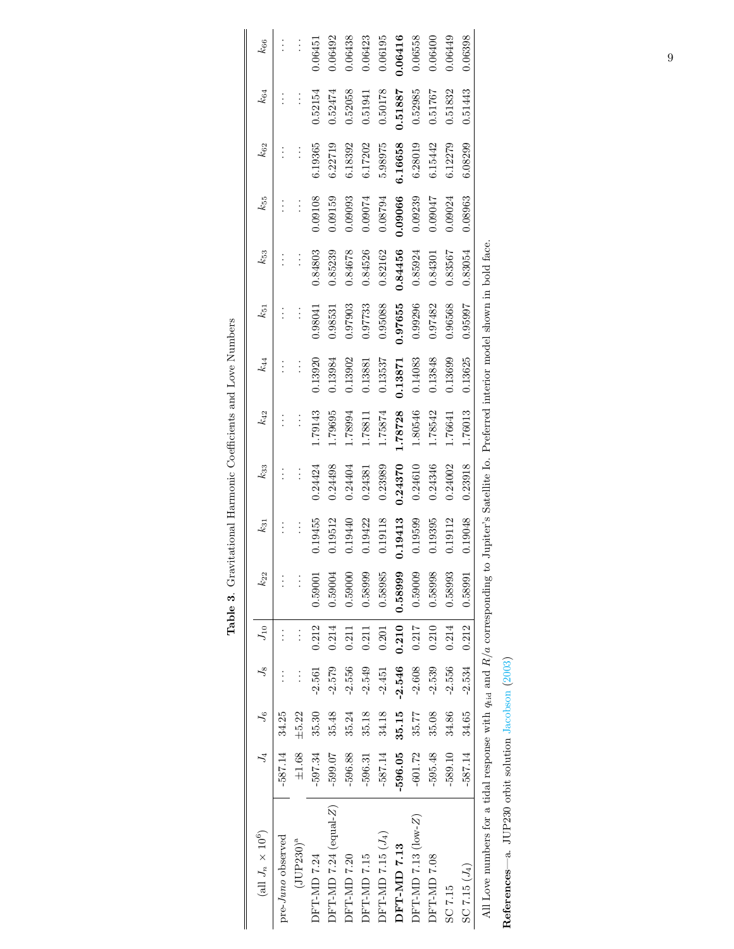<span id="page-8-0"></span>

| (all $J_n$ $\times$ $10^6)$                                                     |           | $J_4$ $J_6$     |                | $J_8$ $J_{10}$ | $k_{22}$ | $k_{31}$ | $k_{33}$ | $k_{42}$ | $k_{44}$ | $k_{51}$ | $k_{53}$                                                             | $k_{55}$ | $k_{62}$ | $k_{64}$ | $k_{66}$ |
|---------------------------------------------------------------------------------|-----------|-----------------|----------------|----------------|----------|----------|----------|----------|----------|----------|----------------------------------------------------------------------|----------|----------|----------|----------|
| pre-Juno observed                                                               | $-587.14$ | 34.25           |                |                |          |          |          |          |          |          |                                                                      |          |          |          |          |
| $(JUP230)^a$                                                                    | ±1.68     | $\pm 5.22$      |                | $\vdots$       |          |          |          |          |          |          |                                                                      |          |          |          |          |
| DFT-MD 7.24                                                                     | $-597.34$ | 35.30           | $-2.561$       | 0.212          | 0.59001  | 0.19455  | 0.24424  | 1.79143  | 0.13920  | 0.98041  | 0.84803                                                              | 0.09108  | 6.19365  | 0.52154  | 0.06451  |
| $DFT-MD 7.24$ (equal-Z)                                                         | $-599.07$ | 35.48           | $-2.579$       | 0.214          | 0.59004  | 1.19512  | 0.24498  | 1.79695  | 1.13984  | 0.98531  | 0.85239                                                              | 0.09159  | 6.22719  | 0.52474  | 1.06492  |
| DFT-MD 7.20                                                                     | $-596.88$ | 35.24           | $-2.556$       | 0.211          | 0.59000  | 0.19440  | 0.24404  | 1.78994  | 0.13902  | 0.97903  | 0.84678                                                              | 0.09093  | 6.18392  | 0.52058  | 0.06438  |
| DFT-MD 7.15                                                                     | $-596.31$ | 35.18           | $-2.549$       | 0.211          | 0.58999  | 0.19422  | 0.24381  | 1.78811  | 0.13881  | 0.97733  | 0.84526                                                              | 0.09074  | 6.17202  | 0.51941  | 0.6423   |
| $DFT$ -MD 7.15 $(J_4)$                                                          | $-587.14$ | 34.18           | $-2.451$       | 0.201          | 0.58985  | 0.19118  | 0.23989  | 1.75874  | 0.13537  | 0.95088  | 0.82162                                                              | 0.08794  | 5.98975  | 0.50178  | 0.06195  |
| DFT-MD 7.13                                                                     | $-596.05$ | 35.15           | $-2.546$       | 0.210          | 0.58999  | 0.19413  | 0.24370  | .78728   | 0.13871  | 0.97655  | 0.84456                                                              | 0.09066  | 6.16658  | 0.51887  | 0.06416  |
| DFT-MD 7.13 $(low-Z)$                                                           | $-601.72$ | 35.77           | $-2.608$       | 0.217          | 0.59009  | 0.19599  | 0.24610  | 1.80546  | 0.14083  | 0.99296  | 0.85924                                                              | 0.09239  | 6.28019  | 0.52985  | 0.06558  |
| DFT-MD 7.08                                                                     | $-595.48$ | 35.08           | $-2.539$       | 0.210          | 0.58998  | 0.19395  | 0.24346  | 1.78542  | 0.13848  | 0.97482  | 0.84301                                                              | 0.09047  | 6.15442  | 0.51767  | 0.06400  |
| SC 7.15                                                                         | $-589.10$ | 34.86           | $-2.556$       | 0.214          | 0.58993  | 0.19112  | 0.24002  | 1.76641  | 0.13699  | 0.96568  | 0.83567                                                              | 0.09024  | 6.12279  | 0.51832  | 0.06449  |
| $SC 7.15 (J_4)$                                                                 |           | $-587.14$ 34.65 | $-2.534$ 0.212 |                | 0.58991  | 0.19048  | 0.23918  | 1.76013  | 0.13625  | 0.95997  | 0.83054                                                              | 0.08963  | 6.08299  | 0.51443  | 0.06398  |
| All Love numbers for a tidal response with $q_{tid}$ and $R/a$ corresponding to |           |                 |                |                |          |          |          |          |          |          | Jupiter's Satellite Io. Preferred interior model shown in bold face. |          |          |          |          |

Table 3. Gravitational Harmonic Coefficients and Love Numbers Table 3. Gravitational Harmonic Coefficients and Love Numbers

References—a. JUP230 orbit solution Jacobson (2003) References—a. JUP230 orbit solution [Jacobson](#page-6-7) [\(2003\)](#page-6-7) 9